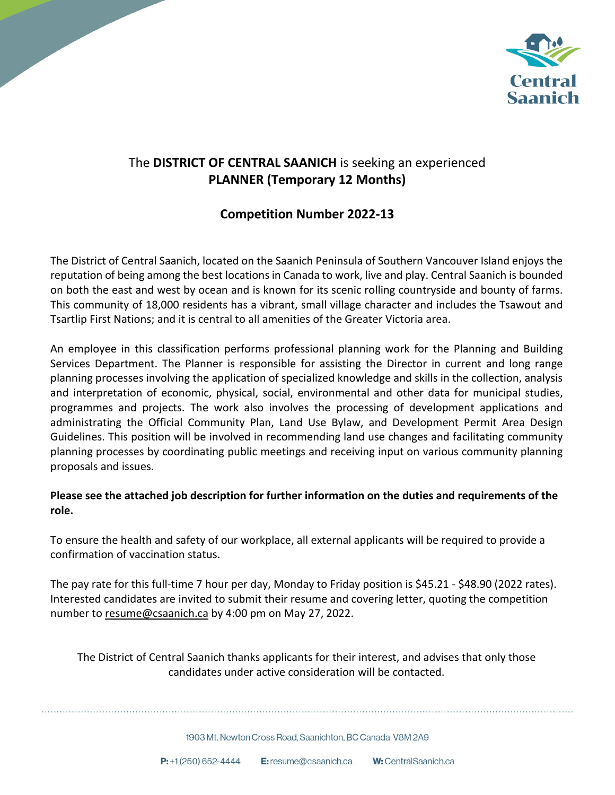

# The **DISTRICT OF CENTRAL SAANICH** is seeking an experienced **PLANNER (Temporary 12 Months)**

## **Competition Number 2022-13**

The District of Central Saanich, located on the Saanich Peninsula of Southern Vancouver Island enjoys the reputation of being among the best locations in Canada to work, live and play. Central Saanich is bounded on both the east and west by ocean and is known for its scenic rolling countryside and bounty of farms. This community of 18,000 residents has a vibrant, small village character and includes the Tsawout and Tsartlip First Nations; and it is central to all amenities of the Greater Victoria area.

An employee in this classification performs professional planning work for the Planning and Building Services Department. The Planner is responsible for assisting the Director in current and long range planning processes involving the application of specialized knowledge and skills in the collection, analysis and interpretation of economic, physical, social, environmental and other data for municipal studies, programmes and projects. The work also involves the processing of development applications and administrating the Official Community Plan, Land Use Bylaw, and Development Permit Area Design Guidelines. This position will be involved in recommending land use changes and facilitating community planning processes by coordinating public meetings and receiving input on various community planning proposals and issues.

### **Please see the attached job description for further information on the duties and requirements of the role.**

To ensure the health and safety of our workplace, all external applicants will be required to provide a confirmation of vaccination status.

The pay rate for this full-time 7 hour per day, Monday to Friday position is \$45.21 - \$48.90 (2022 rates). Interested candidates are invited to submit their resume and covering letter, quoting the competition number to resume@csaanich.ca by 4:00 pm on May 27, 2022.

The District of Central Saanich thanks applicants for their interest, and advises that only those candidates under active consideration will be contacted.

1903 Mt. Newton Cross Road. Saanichton, BC Canada V8M 2A9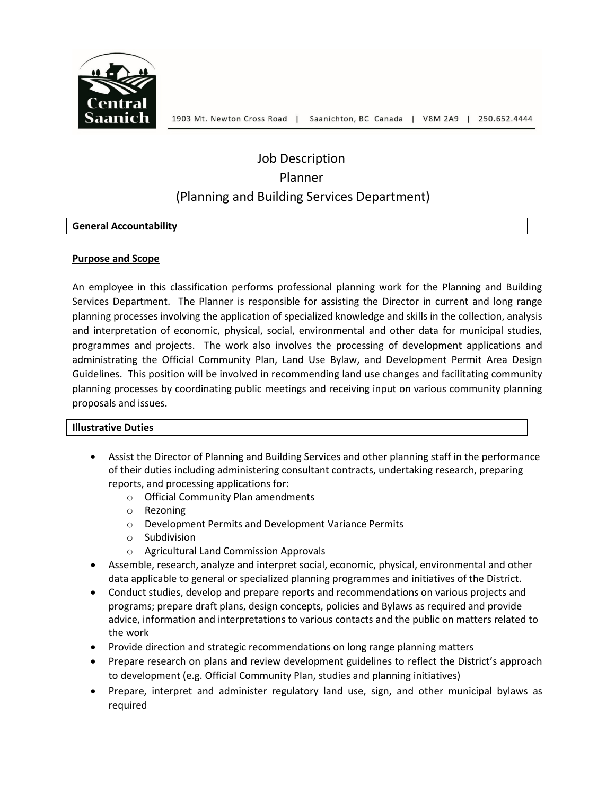

# Job Description Planner (Planning and Building Services Department)

#### **General Accountability**

#### **Purpose and Scope**

An employee in this classification performs professional planning work for the Planning and Building Services Department. The Planner is responsible for assisting the Director in current and long range planning processes involving the application of specialized knowledge and skills in the collection, analysis and interpretation of economic, physical, social, environmental and other data for municipal studies, programmes and projects. The work also involves the processing of development applications and administrating the Official Community Plan, Land Use Bylaw, and Development Permit Area Design Guidelines. This position will be involved in recommending land use changes and facilitating community planning processes by coordinating public meetings and receiving input on various community planning proposals and issues.

#### **Illustrative Duties**

- Assist the Director of Planning and Building Services and other planning staff in the performance of their duties including administering consultant contracts, undertaking research, preparing reports, and processing applications for:
	- o Official Community Plan amendments
	- o Rezoning
	- o Development Permits and Development Variance Permits
	- o Subdivision
	- o Agricultural Land Commission Approvals
- Assemble, research, analyze and interpret social, economic, physical, environmental and other data applicable to general or specialized planning programmes and initiatives of the District.
- Conduct studies, develop and prepare reports and recommendations on various projects and programs; prepare draft plans, design concepts, policies and Bylaws as required and provide advice, information and interpretations to various contacts and the public on matters related to the work
- Provide direction and strategic recommendations on long range planning matters
- Prepare research on plans and review development guidelines to reflect the District's approach to development (e.g. Official Community Plan, studies and planning initiatives)
- Prepare, interpret and administer regulatory land use, sign, and other municipal bylaws as required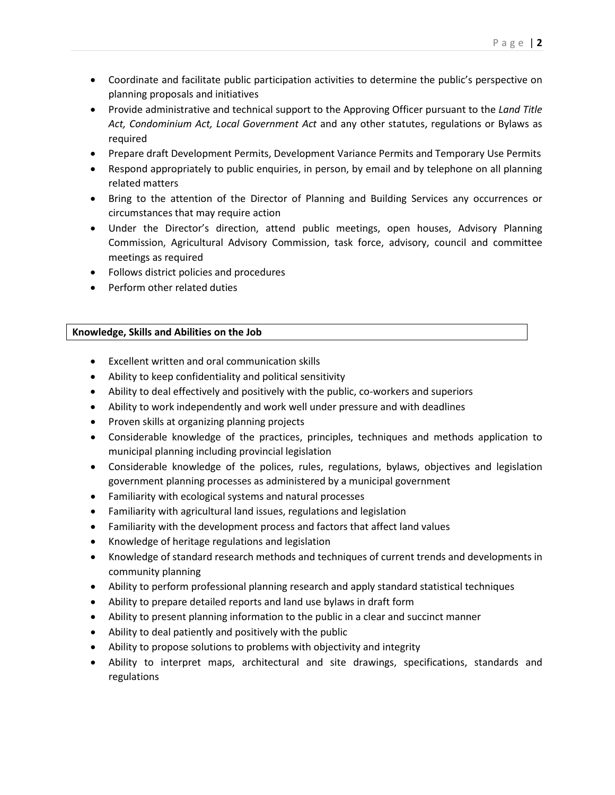- Coordinate and facilitate public participation activities to determine the public's perspective on planning proposals and initiatives
- Provide administrative and technical support to the Approving Officer pursuant to the *Land Title Act, Condominium Act, Local Government Act* and any other statutes, regulations or Bylaws as required
- Prepare draft Development Permits, Development Variance Permits and Temporary Use Permits
- Respond appropriately to public enquiries, in person, by email and by telephone on all planning related matters
- Bring to the attention of the Director of Planning and Building Services any occurrences or circumstances that may require action
- Under the Director's direction, attend public meetings, open houses, Advisory Planning Commission, Agricultural Advisory Commission, task force, advisory, council and committee meetings as required
- Follows district policies and procedures
- Perform other related duties

#### **Knowledge, Skills and Abilities on the Job**

- Excellent written and oral communication skills
- Ability to keep confidentiality and political sensitivity
- Ability to deal effectively and positively with the public, co-workers and superiors
- Ability to work independently and work well under pressure and with deadlines
- Proven skills at organizing planning projects
- Considerable knowledge of the practices, principles, techniques and methods application to municipal planning including provincial legislation
- Considerable knowledge of the polices, rules, regulations, bylaws, objectives and legislation government planning processes as administered by a municipal government
- Familiarity with ecological systems and natural processes
- Familiarity with agricultural land issues, regulations and legislation
- Familiarity with the development process and factors that affect land values
- Knowledge of heritage regulations and legislation
- Knowledge of standard research methods and techniques of current trends and developments in community planning
- Ability to perform professional planning research and apply standard statistical techniques
- Ability to prepare detailed reports and land use bylaws in draft form
- Ability to present planning information to the public in a clear and succinct manner
- Ability to deal patiently and positively with the public
- Ability to propose solutions to problems with objectivity and integrity
- Ability to interpret maps, architectural and site drawings, specifications, standards and regulations